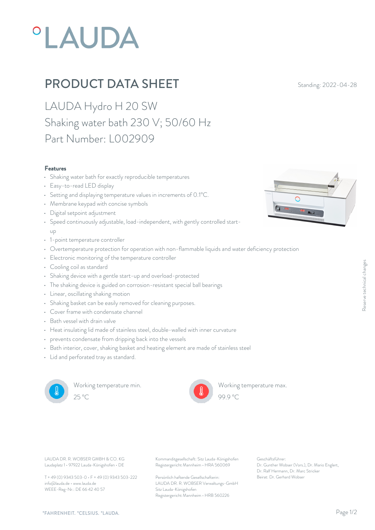# **°LAUDA**

## **PRODUCT DATA SHEET** Standing: 2022-04-28

LAUDA Hydro H 20 SW Shaking water bath 230 V; 50/60 Hz Part Number: L002909

#### Features

- Shaking water bath for exactly reproducible temperatures
- Easy-to-read LED display
- Setting and displaying temperature values in increments of 0.1°C.
- Membrane keypad with concise symbols
- Digital setpoint adjustment
- Speed continuously adjustable, load-independent, with gently controlled startup and the state of the state of the state of the state of the state of the state of the state of the state of
- 1-point temperature controller
- Overtemperature protection for operation with non-flammable liquids and water deficiency protection
- Electronic monitoring of the temperature controller
- Cooling coil as standard
- Shaking device with a gentle start-up and overload-protected
- The shaking device is guided on corrosion-resistant special ball bearings
- Linear, oscillating shaking motion
- Shaking basket can be easily removed for cleaning purposes.
- Cover frame with condensate channel
- Bath vessel with drain valve
- Heat insulating lid made of stainless steel, double-walled with inner curvature
- prevents condensate from dripping back into the vessels
- Bath interior, cover, shaking basket and heating element are made of stainless steel
- Lid and perforated tray as standard.



Working temperature min.



Working temperature max.



Laudaplatz 1 • 97922 Lauda-Königshofen • DE

T + 49 (0) 9343 503-0 • F + 49 (0) 9343 503-222 info@lauda.de • www.lauda.de WEEE-Reg-Nr.: DE 66 42 40 57

LAUDA DR. R. WOBSER GMBH & CO. KG Kommanditgesellschaft: Sitz Lauda-Königshofen Geschäftsführer: Registergericht Mannheim • HRA 560069

> Persönlich haftende Gesellschafterin: Beirat: Dr. Gerhard Wobse LAUDA DR. R. WOBSER Verwaltungs-GmbH Sitz Lauda-Königshofen Registergericht Mannheim • HRB 560226

Geschäftsführer: Dr. Gunther Wobser (Vors.), Dr. Mario Englert, Dr. Ralf Hermann, Dr. Marc Stricker Beschäftsführer:<br>Beischäftsführer:<br>Dr. Gunther Wobser (Vors.), Dr. Mario Englert,<br>Dr. Ralf Hermann, Dr. Marc Stricker<br>Beirat: Dr. Gerhard Wobser

99.9 °C